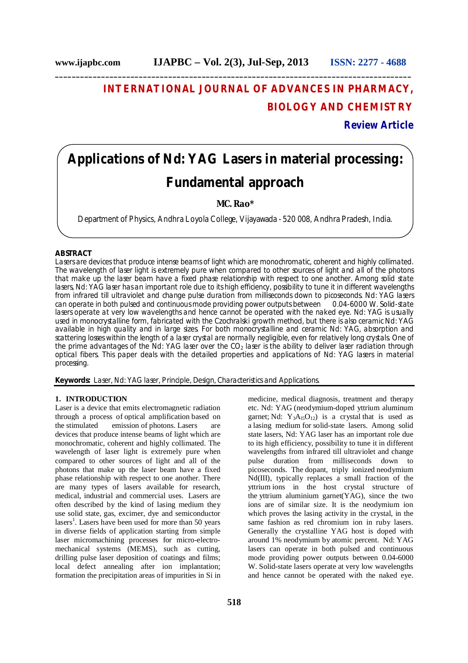## **INTERNATIONAL JOURNAL OF ADVANCES IN PHARMACY, BIOLOGY AND CHEMISTRY**

## **Review Article**

# **Applications of Nd: YAG Lasers in material processing: Fundamental approach**

**\_\_\_\_\_\_\_\_\_\_\_\_\_\_\_\_\_\_\_\_\_\_\_\_\_\_\_\_\_\_\_\_\_\_\_\_\_\_\_\_\_\_\_\_\_\_\_\_\_\_\_\_\_\_\_\_\_\_\_\_\_\_\_\_\_\_\_\_\_\_\_\_\_\_\_\_\_\_\_\_\_\_\_\_\_**

## **MC. Rao\***

Department of Physics, Andhra Loyola College, Vijayawada - 520 008, Andhra Pradesh, India.

## **ABSTRACT**

Lasers are devices that produce intense beams of light which are monochromatic, coherent and highly collimated. The wavelength of laser light is extremely pure when compared to other sources of light and all of the photons that make up the laser beam have a fixed phase relationship with respect to one another. Among solid state lasers, Nd: YAG laser has an important role due to its high efficiency, possibility to tune it in different wavelengths from infrared till ultraviolet and change pulse duration from milliseconds down to picoseconds. Nd: YAG lasers can operate in both pulsed and continuous mode providing power outputs between 0.04-6000 W. Solid-state lasers operate at very low wavelengths and hence cannot be operated with the naked eye. Nd: YAG is usually used in monocrystalline form, fabricated with the Czochralski growth method, but there is also ceramic Nd: YAG available in high quality and in large sizes. For both monocrystalline and ceramic Nd: YAG, absorption and scattering losses within the length of a laser crystal are normally negligible, even for relatively long crystals. One of the prime advantages of the Nd: YAG laser over the  $CO<sub>2</sub>$  laser is the ability to deliver laser radiation through optical fibers. This paper deals with the detailed properties and applications of Nd: YAG lasers in material processing.

**Keywords:** Laser, Nd: YAG laser, Principle, Design, Characteristics and Applications.

## **1. INTRODUCTION**

Laser is a device that emits electromagnetic radiation through a process of optical amplification based on the stimulated emission of photons. Lasers are devices that produce intense beams of light which are monochromatic, coherent and highly collimated. The wavelength of laser light is extremely pure when compared to other sources of light and all of the photons that make up the laser beam have a fixed phase relationship with respect to one another. There are many types of lasers available for research, medical, industrial and commercial uses. Lasers are often described by the kind of lasing medium they use solid state, gas, excimer, dye and semiconductor lasers<sup>1</sup>. Lasers have been used for more than 50 years in diverse fields of application starting from simple laser micromachining processes for micro-electromechanical systems (MEMS), such as cutting, drilling pulse laser deposition of coatings and films; local defect annealing after ion implantation; formation the precipitation areas of impurities in Si in

medicine, medical diagnosis, treatment and therapy etc. Nd: YAG (neodymium-doped yttrium aluminum garnet; Nd:  $Y_3A_{15}O_{12}$ ) is a crystal that is used as a lasing medium for solid-state lasers. Among solid state lasers, Nd: YAG laser has an important role due to its high efficiency, possibility to tune it in different wavelengths from infrared till ultraviolet and change pulse duration from milliseconds down to picoseconds. The dopant, triply ionized neodymium Nd(III), typically replaces a small fraction of the yttrium ions in the host crystal structure of the yttrium aluminium garnet $(YAG)$ , since the two ions are of similar size. It is the neodymium ion which proves the lasing activity in the crystal, in the same fashion as red chromium ion in ruby lasers. Generally the crystalline YAG host is doped with around 1% neodymium by atomic percent. Nd: YAG lasers can operate in both pulsed and continuous mode providing power outputs between 0.04-6000 W. Solid-state lasers operate at very low wavelengths and hence cannot be operated with the naked eye.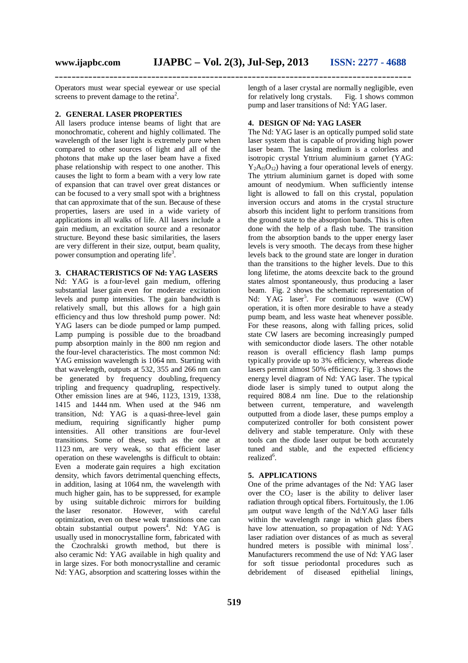Operators must wear special eyewear or use special screens to prevent damage to the retina<sup>2</sup>.

#### **2. GENERAL LASER PROPERTIES**

All lasers produce intense beams of light that are monochromatic, coherent and highly collimated. The wavelength of the laser light is extremely pure when compared to other sources of light and all of the photons that make up the laser beam have a fixed phase relationship with respect to one another. This causes the light to form a beam with a very low rate of expansion that can travel over great distances or can be focused to a very small spot with a brightness that can approximate that of the sun. Because of these properties, lasers are used in a wide variety of applications in all walks of life. All lasers include a gain medium, an excitation source and a resonator structure. Beyond these basic similarities, the lasers are very different in their size, output, beam quality, power consumption and operating life<sup>3</sup>.

## **3. CHARACTERISTICS OF Nd: YAG LASERS**

Nd: YAG is a four-level gain medium, offering substantial laser gain even for moderate excitation levels and pump intensities. The gain bandwidth is relatively small, but this allows for a high gain efficiency and thus low threshold pump power. Nd: YAG lasers can be diode pumped or lamp pumped. Lamp pumping is possible due to the broadband pump absorption mainly in the 800 nm region and the four-level characteristics. The most common Nd: YAG emission wavelength is 1064 nm. Starting with that wavelength, outputs at 532, 355 and 266 nm can be generated by frequency doubling, frequency tripling and frequency quadrupling, respectively. Other emission lines are at 946, 1123, 1319, 1338, 1415 and 1444 nm. When used at the 946 nm transition, Nd: YAG is a quasi-three-level gain medium, requiring significantly higher pump intensities. All other transitions are four-level transitions. Some of these, such as the one at 1123 nm, are very weak, so that efficient laser operation on these wavelengths is difficult to obtain: Even a moderate gain requires a high excitation density, which favors detrimental quenching effects, in addition, lasing at 1064 nm, the wavelength with much higher gain, has to be suppressed, for example by using suitable dichroic mirrors for building the laser resonator. However, with careful optimization, even on these weak transitions one can obtain substantial output powers<sup>4</sup>. Nd: YAG is usually used in monocrystalline form, fabricated with the Czochralski growth method, but there is also ceramic Nd: YAG available in high quality and in large sizes. For both monocrystalline and ceramic Nd: YAG, absorption and scattering losses within the

length of a laser crystal are normally negligible, even for relatively long crystals. Fig. 1 shows common pump and laser transitions of Nd: YAG laser.

#### **4. DESIGN OF Nd: YAG LASER**

The Nd: YAG laser is an optically pumped solid state laser system that is capable of providing high power laser beam. The lasing medium is a colorless and isotropic crystal Yttrium aluminium garnet (YAG:  $Y_2A_1O_{12}$ ) having a four operational levels of energy. The yttrium aluminium garnet is doped with some amount of neodymium. When sufficiently intense light is allowed to fall on this crystal, population inversion occurs and atoms in the crystal structure absorb this incident light to perform transitions from the ground state to the absorption bands. This is often done with the help of a flash tube. The transition from the absorption bands to the upper energy laser levels is very smooth. The decays from these higher levels back to the ground state are longer in duration than the transitions to the higher levels. Due to this long lifetime, the atoms deexcite back to the ground states almost spontaneously, thus producing a laser beam. Fig. 2 shows the schematic representation of Nd: YAG laser<sup>5</sup>. For continuous wave  $(CW)$ operation, it is often more desirable to have a steady pump beam, and less waste heat whenever possible. For these reasons, along with falling prices, solid state CW lasers are becoming increasingly pumped with semiconductor diode lasers. The other notable reason is overall efficiency flash lamp pumps typically provide up to 3% efficiency, whereas diode lasers permit almost 50% efficiency. Fig. 3 shows the energy level diagram of Nd: YAG laser. The typical diode laser is simply tuned to output along the required 808.4 nm line. Due to the relationship between current, temperature, and wavelength outputted from a diode laser, these pumps employ a computerized controller for both consistent power delivery and stable temperature. Only with these tools can the diode laser output be both accurately tuned and stable, and the expected efficiency realized<sup>6</sup>.

## **5. APPLICATIONS**

One of the prime advantages of the Nd: YAG laser over the  $CO<sub>2</sub>$  laser is the ability to deliver laser radiation through optical fibers. Fortuitously, the 1.06 μm output wave length of the Nd:YAG laser falls within the wavelength range in which glass fibers have low attenuation, so propagation of Nd: YAG laser radiation over distances of as much as several hundred meters is possible with minimal  $loss<sup>7</sup>$ . Manufacturers recommend the use of Nd: YAG laser for soft tissue periodontal procedures such as debridement of diseased epithelial linings,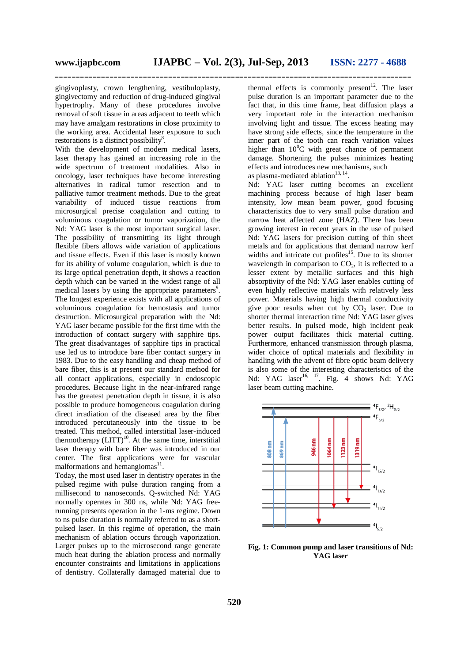gingivoplasty, crown lengthening, vestibuloplasty, gingivectomy and reduction of drug-induced gingival hypertrophy. Many of these procedures involve removal of soft tissue in areas adjacent to teeth which may have amalgam restorations in close proximity to the working area. Accidental laser exposure to such restorations is a distinct possibility<sup>8</sup>.

With the development of modern medical lasers, laser therapy has gained an increasing role in the wide spectrum of treatment modalities. Also in oncology, laser techniques have become interesting alternatives in radical tumor resection and to palliative tumor treatment methods. Due to the great variability of induced tissue reactions from microsurgical precise coagulation and cutting to voluminous coagulation or tumor vaporization, the Nd: YAG laser is the most important surgical laser. The possibility of transmitting its light through flexible fibers allows wide variation of applications and tissue effects. Even if this laser is mostly known for its ability of volume coagulation, which is due to its large optical penetration depth, it shows a reaction depth which can be varied in the widest range of all medical lasers by using the appropriate parameters<sup>9</sup>. The longest experience exists with all applications of voluminous coagulation for hemostasis and tumor destruction. Microsurgical preparation with the Nd: YAG laser became possible for the first time with the introduction of contact surgery with sapphire tips. The great disadvantages of sapphire tips in practical use led us to introduce bare fiber contact surgery in 1983. Due to the easy handling and cheap method of bare fiber, this is at present our standard method for all contact applications, especially in endoscopic procedures. Because light in the near-infrared range has the greatest penetration depth in tissue, it is also possible to produce homogeneous coagulation during direct irradiation of the diseased area by the fiber introduced percutaneously into the tissue to be treated. This method, called interstitial laser-induced thermotherapy  $(LITT)^{10}$ . At the same time, interstitial laser therapy with bare fiber was introduced in our center. The first applications were for vascular malformations and hemangiomas<sup>11</sup>.

Today, the most used laser in dentistry operates in the pulsed regime with pulse duration ranging from a millisecond to nanoseconds. Q-switched Nd: YAG normally operates in 300 ns, while Nd: YAG freerunning presents operation in the 1-ms regime. Down to ns pulse duration is normally referred to as a shortpulsed laser. In this regime of operation, the main mechanism of ablation occurs through vaporization. Larger pulses up to the microsecond range generate much heat during the ablation process and normally encounter constraints and limitations in applications of dentistry. Collaterally damaged material due to

thermal effects is commonly present<sup>12</sup>. The laser pulse duration is an important parameter due to the fact that, in this time frame, heat diffusion plays a very important role in the interaction mechanism involving light and tissue. The excess heating may have strong side effects, since the temperature in the inner part of the tooth can reach variation values higher than  $10^{0}$ C with great chance of permanent damage. Shortening the pulses minimizes heating effects and introduces new mechanisms, such as plasma-mediated ablation $13, 14$ .

Nd: YAG laser cutting becomes an excellent machining process because of high laser beam intensity, low mean beam power, good focusing characteristics due to very small pulse duration and narrow heat affected zone (HAZ). There has been growing interest in recent years in the use of pulsed Nd: YAG lasers for precision cutting of thin sheet metals and for applications that demand narrow kerf widths and intricate cut profiles<sup>15</sup>. Due to its shorter wavelength in comparison to  $CO<sub>2</sub>$ , it is reflected to a lesser extent by metallic surfaces and this high absorptivity of the Nd: YAG laser enables cutting of even highly reflective materials with relatively less power. Materials having high thermal conductivity give poor results when cut by  $CO<sub>2</sub>$  laser. Due to shorter thermal interaction time Nd: YAG laser gives better results. In pulsed mode, high incident peak power output facilitates thick material cutting. Furthermore, enhanced transmission through plasma, wider choice of optical materials and flexibility in handling with the advent of fibre optic beam delivery is also some of the interesting characteristics of the Nd: YAG laser<sup>16, 17</sup>. Fig. 4 shows Nd: YAG laser beam cutting machine.



**Fig. 1: Common pump and laser transitions of Nd: YAG laser**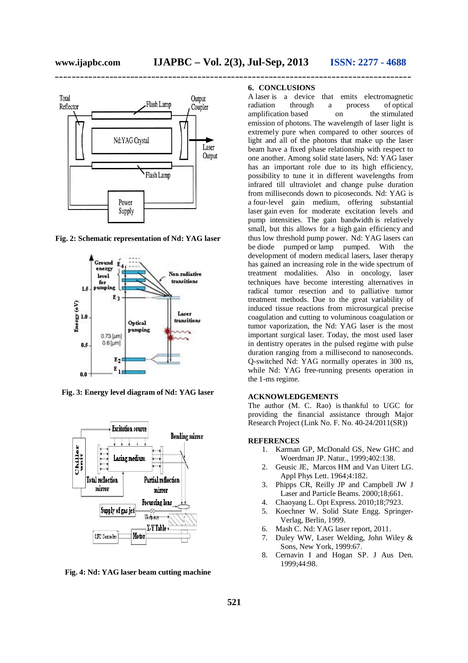

**Fig. 2: Schematic representation of Nd: YAG laser**



**Fig. 3: Energy level diagram of Nd: YAG laser**



**Fig. 4: Nd: YAG laser beam cutting machine**

## **6. CONCLUSIONS**

A laser is a device that emits electromagnetic radiation through a process of optical amplification based on the stimulated emission of photons. The wavelength of laser light is extremely pure when compared to other sources of light and all of the photons that make up the laser beam have a fixed phase relationship with respect to one another. Among solid state lasers, Nd: YAG laser has an important role due to its high efficiency, possibility to tune it in different wavelengths from infrared till ultraviolet and change pulse duration from milliseconds down to picoseconds. Nd: YAG is a four-level gain medium, offering substantial laser gain even for moderate excitation levels and pump intensities. The gain bandwidth is relatively small, but this allows for a high gain efficiency and thus low threshold pump power. Nd: YAG lasers can be diode pumped or lamp pumped. With the development of modern medical lasers, laser therapy has gained an increasing role in the wide spectrum of treatment modalities. Also in oncology, laser techniques have become interesting alternatives in radical tumor resection and to palliative tumor treatment methods. Due to the great variability of induced tissue reactions from microsurgical precise coagulation and cutting to voluminous coagulation or tumor vaporization, the Nd: YAG laser is the most important surgical laser. Today, the most used laser in dentistry operates in the pulsed regime with pulse duration ranging from a millisecond to nanoseconds. Q-switched Nd: YAG normally operates in 300 ns, while Nd: YAG free-running presents operation in the 1-ms regime.

#### **ACKNOWLEDGEMENTS**

The author (M. C. Rao) is thankful to UGC for providing the financial assistance through Major Research Project (Link No. F. No. 40-24/2011(SR))

#### **REFERENCES**

- 1. Karman GP, McDonald GS, New GHC and Woerdman JP. Natur.*,* 1999;402:138.
- 2. Geusic JE, Marcos HM and Van Uitert LG. Appl Phys Lett. 1964;4:182.
- 3. Phipps CR, Reilly JP and Campbell JW J Laser and Particle Beams. 2000;18;661.
- 4. Chaoyang L. Opt Express. 2010;18;7923.
- 5. Koechner W. Solid State Engg. Springer-Verlag, Berlin, 1999.
- 6. Mash C. Nd: YAG laser report, 2011.
- 7. Duley WW, Laser Welding, John Wiley & Sons, New York, 1999:67.
- 8. Cernavin I and Hogan SP. J Aus Den. 1999;44:98.